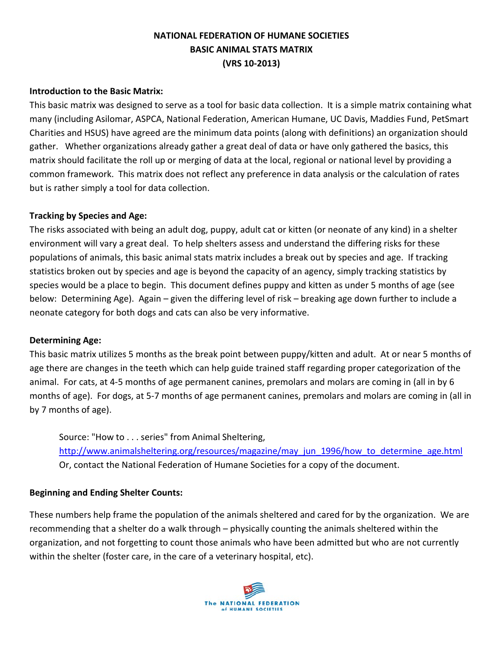# **NATIONAL FEDERATION OF HUMANE SOCIETIES BASIC ANIMAL STATS MATRIX (VRS 10-2013)**

# **Introduction to the Basic Matrix:**

This basic matrix was designed to serve as a tool for basic data collection. It is a simple matrix containing what many (including Asilomar, ASPCA, National Federation, American Humane, UC Davis, Maddies Fund, PetSmart Charities and HSUS) have agreed are the minimum data points (along with definitions) an organization should gather. Whether organizations already gather a great deal of data or have only gathered the basics, this matrix should facilitate the roll up or merging of data at the local, regional or national level by providing a common framework. This matrix does not reflect any preference in data analysis or the calculation of rates but is rather simply a tool for data collection.

# **Tracking by Species and Age:**

The risks associated with being an adult dog, puppy, adult cat or kitten (or neonate of any kind) in a shelter environment will vary a great deal. To help shelters assess and understand the differing risks for these populations of animals, this basic animal stats matrix includes a break out by species and age. If tracking statistics broken out by species and age is beyond the capacity of an agency, simply tracking statistics by species would be a place to begin. This document defines puppy and kitten as under 5 months of age (see below: Determining Age). Again – given the differing level of risk – breaking age down further to include a neonate category for both dogs and cats can also be very informative.

#### **Determining Age:**

This basic matrix utilizes 5 months as the break point between puppy/kitten and adult. At or near 5 months of age there are changes in the teeth which can help guide trained staff regarding proper categorization of the animal. For cats, at 4-5 months of age permanent canines, premolars and molars are coming in (all in by 6 months of age). For dogs, at 5-7 months of age permanent canines, premolars and molars are coming in (all in by 7 months of age).

Source: "How to . . . series" from Animal Sheltering, [http://www.animalsheltering.org/resources/magazine/may\\_jun\\_1996/how\\_to\\_determine\\_age.html](http://www.animalsheltering.org/resources/magazine/may_jun_1996/how_to_determine_age.html) Or, contact the National Federation of Humane Societies for a copy of the document.

#### **Beginning and Ending Shelter Counts:**

These numbers help frame the population of the animals sheltered and cared for by the organization. We are recommending that a shelter do a walk through – physically counting the animals sheltered within the organization, and not forgetting to count those animals who have been admitted but who are not currently within the shelter (foster care, in the care of a veterinary hospital, etc).

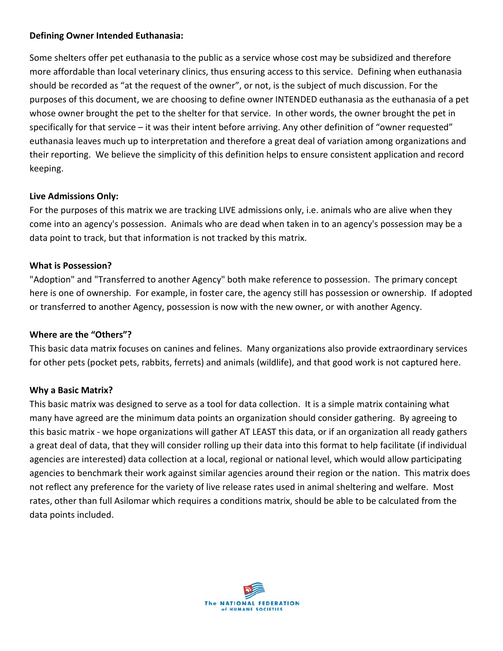# **Defining Owner Intended Euthanasia:**

Some shelters offer pet euthanasia to the public as a service whose cost may be subsidized and therefore more affordable than local veterinary clinics, thus ensuring access to this service. Defining when euthanasia should be recorded as "at the request of the owner", or not, is the subject of much discussion. For the purposes of this document, we are choosing to define owner INTENDED euthanasia as the euthanasia of a pet whose owner brought the pet to the shelter for that service. In other words, the owner brought the pet in specifically for that service – it was their intent before arriving. Any other definition of "owner requested" euthanasia leaves much up to interpretation and therefore a great deal of variation among organizations and their reporting. We believe the simplicity of this definition helps to ensure consistent application and record keeping.

# **Live Admissions Only:**

For the purposes of this matrix we are tracking LIVE admissions only, i.e. animals who are alive when they come into an agency's possession. Animals who are dead when taken in to an agency's possession may be a data point to track, but that information is not tracked by this matrix.

# **What is Possession?**

"Adoption" and "Transferred to another Agency" both make reference to possession. The primary concept here is one of ownership. For example, in foster care, the agency still has possession or ownership. If adopted or transferred to another Agency, possession is now with the new owner, or with another Agency.

#### **Where are the "Others"?**

This basic data matrix focuses on canines and felines. Many organizations also provide extraordinary services for other pets (pocket pets, rabbits, ferrets) and animals (wildlife), and that good work is not captured here.

#### **Why a Basic Matrix?**

This basic matrix was designed to serve as a tool for data collection. It is a simple matrix containing what many have agreed are the minimum data points an organization should consider gathering. By agreeing to this basic matrix - we hope organizations will gather AT LEAST this data, or if an organization all ready gathers a great deal of data, that they will consider rolling up their data into this format to help facilitate (if individual agencies are interested) data collection at a local, regional or national level, which would allow participating agencies to benchmark their work against similar agencies around their region or the nation. This matrix does not reflect any preference for the variety of live release rates used in animal sheltering and welfare. Most rates, other than full Asilomar which requires a conditions matrix, should be able to be calculated from the data points included.